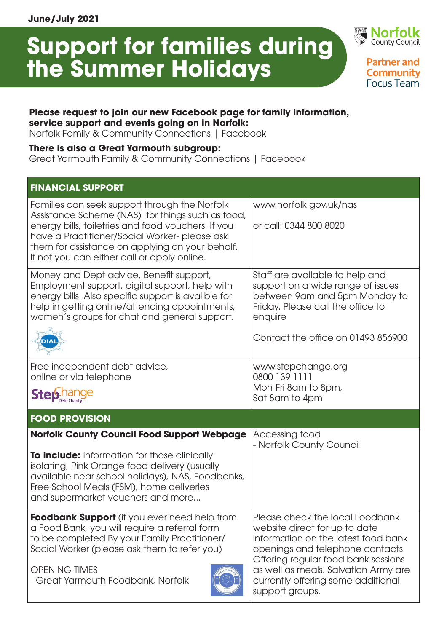# **Support for families during the Summer Holidays**



**Partner and Community** Focus Team

#### **Please request to join our new Facebook page for family information, service support and events going on in Norfolk:**

Norfolk Family & Community Connections | Facebook

### **There is also a Great Yarmouth subgroup:**

Great Yarmouth Family & Community Connections | Facebook

| <b>FINANCIAL SUPPORT</b>                                                                                                                                                                                                                                                                                  |                                                                                                                                                                                                                                                                                     |
|-----------------------------------------------------------------------------------------------------------------------------------------------------------------------------------------------------------------------------------------------------------------------------------------------------------|-------------------------------------------------------------------------------------------------------------------------------------------------------------------------------------------------------------------------------------------------------------------------------------|
| Families can seek support through the Norfolk<br>Assistance Scheme (NAS) for things such as food,<br>energy bills, toiletries and food vouchers. If you<br>have a Practitioner/Social Worker-please ask<br>them for assistance on applying on your behalf.<br>If not you can either call or apply online. | www.norfolk.gov.uk/nas<br>or call: 0344 800 8020                                                                                                                                                                                                                                    |
| Money and Dept advice, Benefit support,<br>Employment support, digital support, help with<br>energy bills. Also specific support is availble for<br>help in getting online/attending appointments,<br>women's groups for chat and general support.                                                        | Staff are available to help and<br>support on a wide range of issues<br>between 9am and 5pm Monday to<br>Friday. Please call the office to<br>enquire                                                                                                                               |
| DIA                                                                                                                                                                                                                                                                                                       | Contact the office on 01493 856900                                                                                                                                                                                                                                                  |
| Free independent debt advice,<br>online or via telephone                                                                                                                                                                                                                                                  | www.stepchange.org<br>0800 139 1111                                                                                                                                                                                                                                                 |
| <b>Step</b> hange                                                                                                                                                                                                                                                                                         | Mon-Fri 8am to 8pm,<br>Sat 8am to 4pm                                                                                                                                                                                                                                               |
| <b>FOOD PROVISION</b>                                                                                                                                                                                                                                                                                     |                                                                                                                                                                                                                                                                                     |
| <b>Norfolk County Council Food Support Webpage</b><br>To include: information for those clinically<br>isolating, Pink Orange food delivery (usually<br>available near school holidays), NAS, Foodbanks,<br>Free School Meals (FSM), home deliveries<br>and supermarket vouchers and more                  | Accessing food<br>- Norfolk County Council                                                                                                                                                                                                                                          |
| Foodbank Support (if you ever need help from<br>a Food Bank, you will require a referral form<br>to be completed By your Family Practitioner/<br>Social Worker (please ask them to refer you)<br><b>OPENING TIMES</b><br>- Great Yarmouth Foodbank, Norfolk                                               | Please check the local Foodbank<br>website direct for up to date<br>information on the latest food bank<br>openings and telephone contacts.<br>Offering regular food bank sessions<br>as well as meals. Salvation Army are<br>currently offering some additional<br>support groups. |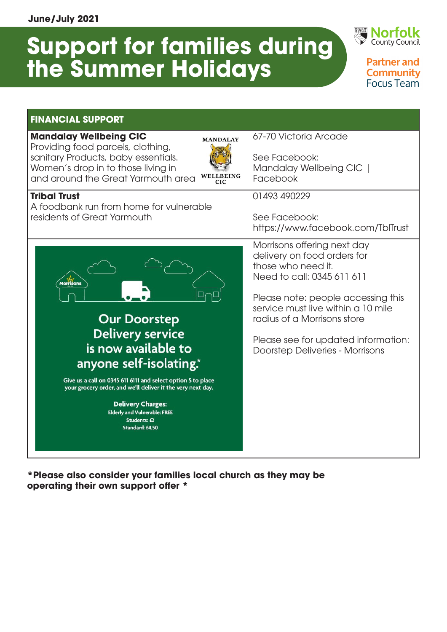### **Support for families during the Summer Holidays**



**Partner and Community** Focus Team

| <b>FINANCIAL SUPPORT</b>                                                                                                                                                                                                                                                                                                                                  |                                                                                                                                                                                                                                                                                                     |
|-----------------------------------------------------------------------------------------------------------------------------------------------------------------------------------------------------------------------------------------------------------------------------------------------------------------------------------------------------------|-----------------------------------------------------------------------------------------------------------------------------------------------------------------------------------------------------------------------------------------------------------------------------------------------------|
| <b>Mandalay Wellbeing CIC</b><br><b>MANDALAY</b><br>Providing food parcels, clothing,<br>sanitary Products, baby essentials.<br>Women's drop in to those living in<br>WELLBEING<br>and around the Great Yarmouth area<br><b>CIC</b>                                                                                                                       | 67-70 Victoria Arcade<br>See Facebook:<br>Mandalay Wellbeing CIC  <br>Facebook                                                                                                                                                                                                                      |
| <b>Tribal Trust</b><br>A foodbank run from home for vulnerable<br>residents of Great Yarmouth                                                                                                                                                                                                                                                             | 01493 490229<br>See Facebook:<br>https://www.facebook.com/TblTrust                                                                                                                                                                                                                                  |
| <b>Morrisons</b><br><b>Our Doorstep</b><br><b>Delivery service</b><br>is now available to<br>anyone self-isolating.*<br>Give us a call on 0345 611 6111 and select option 5 to place<br>your grocery order, and we'll deliver it the very next day.<br><b>Delivery Charges:</b><br><b>Elderly and Vulnerable: FREE</b><br>Students: £2<br>Standard: £4.50 | Morrisons offering next day<br>delivery on food orders for<br>those who need it.<br>Need to call: 0345 611 611<br>Please note: people accessing this<br>service must live within a 10 mile<br>radius of a Morrisons store<br>Please see for updated information:<br>Doorstep Deliveries - Morrisons |

**\*Please also consider your families local church as they may be operating their own support offer \***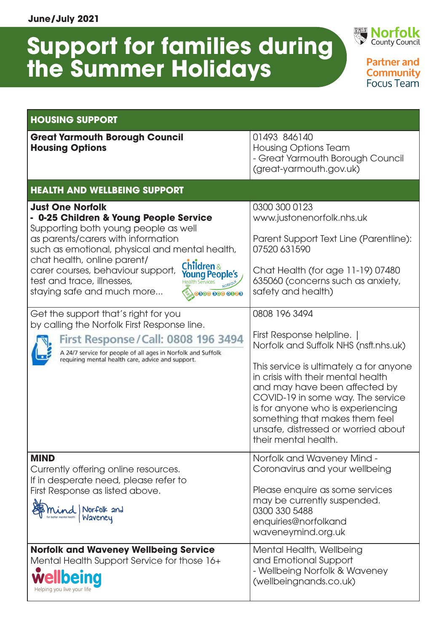## **Support for families during the Summer Holidays**



| <b>HOUSING SUPPORT</b>                                                                                                                                                                                                                                                                                                                                                                                                                                                                                                                                                                                                                                                 |                                                                                                                                                                                                                                                                                                                                                                                                                                                                                                                                                                                           |
|------------------------------------------------------------------------------------------------------------------------------------------------------------------------------------------------------------------------------------------------------------------------------------------------------------------------------------------------------------------------------------------------------------------------------------------------------------------------------------------------------------------------------------------------------------------------------------------------------------------------------------------------------------------------|-------------------------------------------------------------------------------------------------------------------------------------------------------------------------------------------------------------------------------------------------------------------------------------------------------------------------------------------------------------------------------------------------------------------------------------------------------------------------------------------------------------------------------------------------------------------------------------------|
| <b>Great Yarmouth Borough Council</b><br><b>Housing Options</b>                                                                                                                                                                                                                                                                                                                                                                                                                                                                                                                                                                                                        | 01493 846140<br><b>Housing Options Team</b><br>- Great Yarmouth Borough Council<br>(great-yarmouth.gov.uk)                                                                                                                                                                                                                                                                                                                                                                                                                                                                                |
| <b>HEALTH AND WELLBEING SUPPORT</b>                                                                                                                                                                                                                                                                                                                                                                                                                                                                                                                                                                                                                                    |                                                                                                                                                                                                                                                                                                                                                                                                                                                                                                                                                                                           |
| <b>Just One Norfolk</b><br>0-25 Children & Young People Service<br>Supporting both young people as well<br>as parents/carers with information<br>such as emotional, physical and mental health,<br>chat health, online parent/<br>Children $\&$<br>carer courses, behaviour support,<br><b>Young People's</b><br>test and trace, illnesses,<br><b>Health Services</b><br>staying safe and much more<br>0000 000 0000<br>Get the support that's right for you<br>by calling the Norfolk First Response line.<br>First Response/Call: 0808 196 3494<br>A 24/7 service for people of all ages in Norfolk and Suffolk<br>requiring mental health care, advice and support. | 0300 300 0123<br>www.justonenorfolk.nhs.uk<br>Parent Support Text Line (Parentline):<br>07520 631590<br>Chat Health (for age 11-19) 07480<br>635060 (concerns such as anxiety,<br>safety and health)<br>0808 196 3494<br>First Response helpline.  <br>Norfolk and Suffolk NHS (nsft.nhs.uk)<br>This service is ultimately a for anyone<br>in crisis with their mental health<br>and may have been affected by<br>COVID-19 in some way. The service<br>is for anyone who is experiencing<br>something that makes them feel<br>unsafe, distressed or worried about<br>their mental health. |
| <b>MIND</b><br>Currently offering online resources.<br>If in desperate need, please refer to<br>First Response as listed above.<br><b>Norfolk and Waveney Wellbeing Service</b>                                                                                                                                                                                                                                                                                                                                                                                                                                                                                        | Norfolk and Waveney Mind -<br>Coronavirus and your wellbeing<br>Please enquire as some services<br>may be currently suspended.<br>0300 330 5488<br>enquiries@norfolkand<br>waveneymind.org.uk<br>Mental Health, Wellbeing                                                                                                                                                                                                                                                                                                                                                                 |
| Mental Health Support Service for those 16+<br>Helping you live your life                                                                                                                                                                                                                                                                                                                                                                                                                                                                                                                                                                                              | and Emotional Support<br>- Wellbeing Norfolk & Waveney<br>(wellbeingnands.co.uk)                                                                                                                                                                                                                                                                                                                                                                                                                                                                                                          |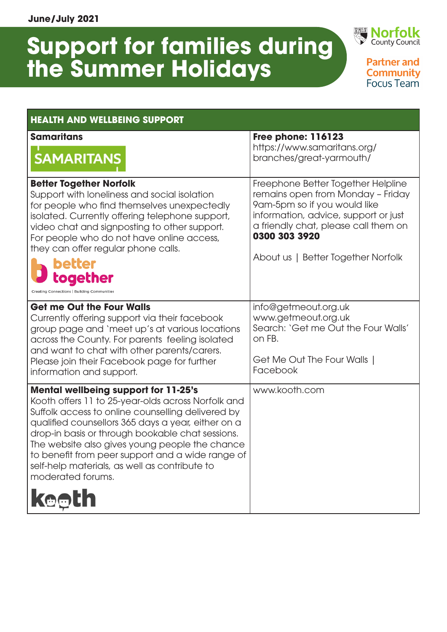### **Support for families during the Summer Holidays**



| <b>HEALTH AND WELLBEING SUPPORT</b>                                                                                                                                                                                                                                                                                                                                                                                                                          |                                                                                                                                                                                                                                                |
|--------------------------------------------------------------------------------------------------------------------------------------------------------------------------------------------------------------------------------------------------------------------------------------------------------------------------------------------------------------------------------------------------------------------------------------------------------------|------------------------------------------------------------------------------------------------------------------------------------------------------------------------------------------------------------------------------------------------|
| <b>Samaritans</b><br><b>SAMARITANS</b>                                                                                                                                                                                                                                                                                                                                                                                                                       | <b>Free phone: 116123</b><br>https://www.samaritans.org/<br>branches/great-yarmouth/                                                                                                                                                           |
| <b>Better Together Norfolk</b><br>Support with loneliness and social isolation<br>for people who find themselves unexpectedly<br>isolated. Currently offering telephone support,<br>video chat and signposting to other support.<br>For people who do not have online access,<br>they can offer regular phone calls.<br><b>better</b><br>together<br>Creating Connections   Building Communities                                                             | Freephone Better Together Helpline<br>remains open from Monday - Friday<br>9am-5pm so if you would like<br>information, advice, support or just<br>a friendly chat, please call them on<br>0300 303 3920<br>About us   Better Together Norfolk |
| <b>Get me Out the Four Walls</b><br>Currently offering support via their facebook<br>group page and 'meet up's at various locations<br>across the County. For parents feeling isolated<br>and want to chat with other parents/carers.<br>Please join their Facebook page for further<br>information and support.                                                                                                                                             | info@getmeout.org.uk<br>www.getmeout.org.uk<br>Search: 'Get me Out the Four Walls'<br>on FB.<br>Get Me Out The Four Walls  <br>Facebook                                                                                                        |
| <b>Mental wellbeing support for 11-25's</b><br>Kooth offers 11 to 25-year-olds across Norfolk and<br>Suffolk access to online counselling delivered by<br>qualified counsellors 365 days a year, either on a<br>drop-in basis or through bookable chat sessions.<br>The website also gives young people the chance<br>to benefit from peer support and a wide range of<br>self-help materials, as well as contribute to<br>moderated forums.<br><b>keeth</b> | www.kooth.com                                                                                                                                                                                                                                  |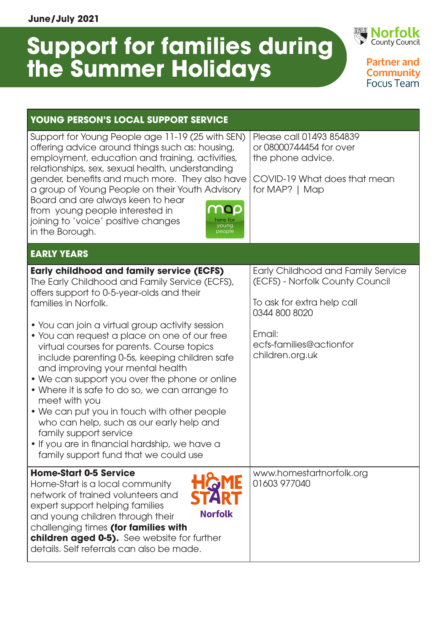### **Support for families during the Summer Holidays**



| <b>YOUNG PERSON'S LOCAL SUPPORT SERVICE</b>                                                                                                                                                                                                                                                                                                                                                                                                                                                                                                                                                                                                                                                                                                      |                                                                                                                                                                                     |
|--------------------------------------------------------------------------------------------------------------------------------------------------------------------------------------------------------------------------------------------------------------------------------------------------------------------------------------------------------------------------------------------------------------------------------------------------------------------------------------------------------------------------------------------------------------------------------------------------------------------------------------------------------------------------------------------------------------------------------------------------|-------------------------------------------------------------------------------------------------------------------------------------------------------------------------------------|
| Support for Young People age 11-19 (25 with SEN)<br>offering advice around things such as: housing,<br>employment, education and training, activities,<br>relationships, sex, sexual health, understanding<br>gender, benefits and much more. They also have<br>a group of Young People on their Youth Advisory<br>Board and are always keen to hear<br>nap<br>from young people interested in<br>here for<br>joining to 'voice' positive changes<br>young<br>people<br>in the Borough.                                                                                                                                                                                                                                                          | Please call 01493 854839<br>or 08000744454 for over<br>the phone advice.<br>COVID-19 What does that mean<br>for MAP?   Map                                                          |
| <b>EARLY YEARS</b>                                                                                                                                                                                                                                                                                                                                                                                                                                                                                                                                                                                                                                                                                                                               |                                                                                                                                                                                     |
| <b>Early childhood and family service (ECFS)</b><br>The Early Childhood and Family Service (ECFS),<br>offers support to 0-5-year-olds and their<br>families in Norfolk.<br>• You can join a virtual group activity session<br>• You can request a place on one of our free<br>virtual courses for parents. Course topics<br>include parenting 0-5s, keeping children safe<br>and improving your mental health<br>. We can support you over the phone or online<br>• Where it is safe to do so, we can arrange to<br>meet with you<br>. We can put you in touch with other people<br>who can help, such as our early help and<br>family support service<br>• If you are in financial hardship, we have a<br>family support fund that we could use | <b>Early Childhood and Family Service</b><br>(ECFS) - Norfolk County Council<br>To ask for extra help call<br>0344 800 8020<br>Email:<br>ecfs-families@actionfor<br>children.org.uk |
| <b>Home-Start 0-5 Service</b><br><b>IGME</b><br>Home-Start is a local community<br>network of trained volunteers and<br><b>START</b><br>expert support helping families<br><b>Norfolk</b><br>and young children through their<br>challenging times (for families with<br>children aged 0-5). See website for further<br>details. Self referrals can also be made.                                                                                                                                                                                                                                                                                                                                                                                | www.homestartnorfolk.org<br>01603 977040                                                                                                                                            |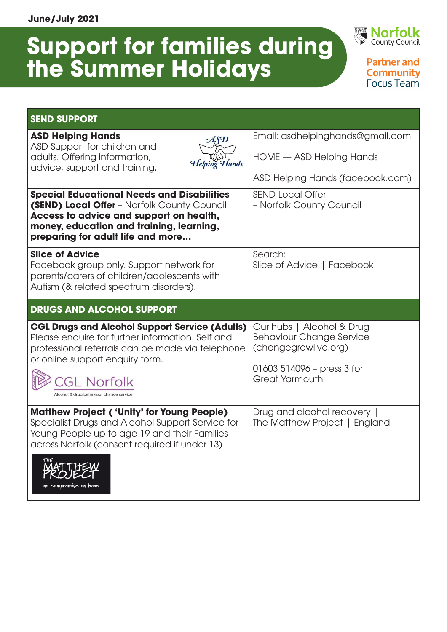### **Support for families during the Summer Holidays**



| <b>SEND SUPPORT</b>                                                                                                                                                                                                          |                                                                                                  |
|------------------------------------------------------------------------------------------------------------------------------------------------------------------------------------------------------------------------------|--------------------------------------------------------------------------------------------------|
| <b>ASD Helping Hands</b><br>$\mathcal{A}S\mathcal{D}$<br>ASD Support for children and<br>adults. Offering information,<br>Helping Hands<br>advice, support and training.                                                     | Email: asdhelpinghands@gmail.com<br>HOME - ASD Helping Hands<br>ASD Helping Hands (facebook.com) |
| <b>Special Educational Needs and Disabilities</b><br>(SEND) Local Offer - Norfolk County Council<br>Access to advice and support on health,<br>money, education and training, learning,<br>preparing for adult life and more | <b>SEND Local Offer</b><br>- Norfolk County Council                                              |
| <b>Slice of Advice</b><br>Facebook group only. Support network for<br>parents/carers of children/adolescents with<br>Autism (& related spectrum disorders).                                                                  | Search:<br>Slice of Advice   Facebook                                                            |
| <b>DRUGS AND ALCOHOL SUPPORT</b>                                                                                                                                                                                             |                                                                                                  |
| <b>CGL Drugs and Alcohol Support Service (Adults)</b><br>Please enquire for further information. Self and<br>professional referrals can be made via telephone<br>or online support enquiry form.                             | Our hubs   Alcohol & Drug<br><b>Behaviour Change Service</b><br>(changegrowlive.org)             |
| <b>GL Norfolk</b><br>Alcohol & drug behaviour change service                                                                                                                                                                 | 01603 514096 - press 3 for<br><b>Great Yarmouth</b>                                              |
| <b>Matthew Project ('Unity' for Young People)</b><br>Specialist Drugs and Alcohol Support Service for<br>Young People up to age 19 and their Families<br>across Norfolk (consent required if under 13)                       | Drug and alcohol recovery  <br>The Matthew Project   England                                     |
| <b>HEW</b><br>no compromise on hope                                                                                                                                                                                          |                                                                                                  |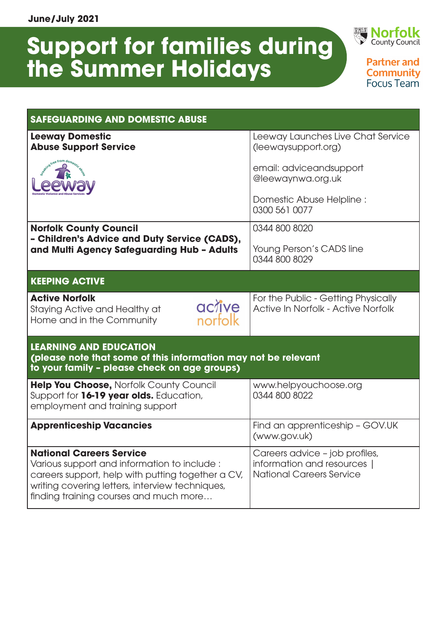### **Support for families during the Summer Holidays**



| <b>SAFEGUARDING AND DOMESTIC ABUSE</b>                                                                                                                                                                                            |                                                                                                  |  |
|-----------------------------------------------------------------------------------------------------------------------------------------------------------------------------------------------------------------------------------|--------------------------------------------------------------------------------------------------|--|
| <b>Leeway Domestic</b><br><b>Abuse Support Service</b>                                                                                                                                                                            | Leeway Launches Live Chat Service<br>(leewaysupport.org)                                         |  |
|                                                                                                                                                                                                                                   | email: adviceandsupport<br>@leewaynwa.org.uk                                                     |  |
|                                                                                                                                                                                                                                   | Domestic Abuse Helpline:<br>0300 561 0077                                                        |  |
| <b>Norfolk County Council</b><br>- Children's Advice and Duty Service (CADS),                                                                                                                                                     | 0344 800 8020                                                                                    |  |
| and Multi Agency Safeguarding Hub - Adults                                                                                                                                                                                        | Young Person's CADS line<br>0344 800 8029                                                        |  |
| <b>KEEPING ACTIVE</b>                                                                                                                                                                                                             |                                                                                                  |  |
| <b>Active Norfolk</b><br>ac/ive<br>Staying Active and Healthy at<br>nortolk<br>Home and in the Community                                                                                                                          | For the Public - Getting Physically<br>Active In Norfolk - Active Norfolk                        |  |
| <b>LEARNING AND EDUCATION</b><br>(please note that some of this information may not be relevant<br>to your family - please check on age groups)                                                                                   |                                                                                                  |  |
| <b>Help You Choose, Norfolk County Council</b><br>Support for 16-19 year olds. Education,<br>employment and training support                                                                                                      | www.helpyouchoose.org<br>0344 800 8022                                                           |  |
| <b>Apprenticeship Vacancies</b>                                                                                                                                                                                                   | Find an apprenticeship - GOV.UK<br>(www.gov.uk)                                                  |  |
| <b>National Careers Service</b><br>Various support and information to include :<br>careers support, help with putting together a CV,<br>writing covering letters, interview techniques,<br>finding training courses and much more | Careers advice - job profiles,<br>information and resources  <br><b>National Careers Service</b> |  |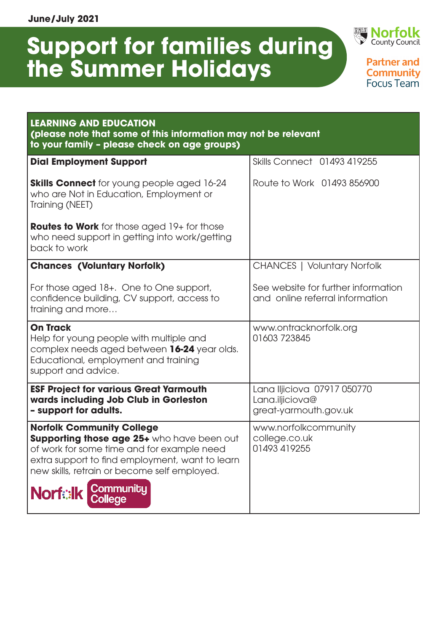### **Support for families during the Summer Holidays**



| <b>LEARNING AND EDUCATION</b><br>(please note that some of this information may not be relevant<br>to your family - please check on age groups)                                                                                                             |                                                                         |
|-------------------------------------------------------------------------------------------------------------------------------------------------------------------------------------------------------------------------------------------------------------|-------------------------------------------------------------------------|
| <b>Dial Employment Support</b>                                                                                                                                                                                                                              | Skills Connect 01493 419255                                             |
| <b>Skills Connect</b> for young people aged 16-24<br>who are Not in Education, Employment or<br>Training (NEET)                                                                                                                                             | Route to Work 01493 856900                                              |
| <b>Routes to Work</b> for those aged 19+ for those<br>who need support in getting into work/getting<br>back to work                                                                                                                                         |                                                                         |
| <b>Chances (Voluntary Norfolk)</b>                                                                                                                                                                                                                          | <b>CHANCES</b>   Voluntary Norfolk                                      |
| For those aged 18+. One to One support,<br>confidence building, CV support, access to<br>training and more                                                                                                                                                  | See website for further information<br>and online referral information  |
| <b>On Track</b><br>Help for young people with multiple and<br>complex needs aged between 16-24 year olds.<br>Educational, employment and training<br>support and advice.                                                                                    | www.ontracknorfolk.org<br>01603 723845                                  |
| <b>ESF Project for various Great Yarmouth</b><br>wards including Job Club in Gorleston<br>- support for adults.                                                                                                                                             | Lana Iljiciova 07917 050770<br>Lana.iljiciova@<br>great-yarmouth.gov.uk |
| <b>Norfolk Community College</b><br>Supporting those age 25+ who have been out<br>of work for some time and for example need<br>extra support to find employment, want to learn<br>new skills, retrain or become self employed.<br><b>Norfalk Community</b> | www.norfolkcommunity<br>college.co.uk<br>01493 419255                   |
|                                                                                                                                                                                                                                                             |                                                                         |